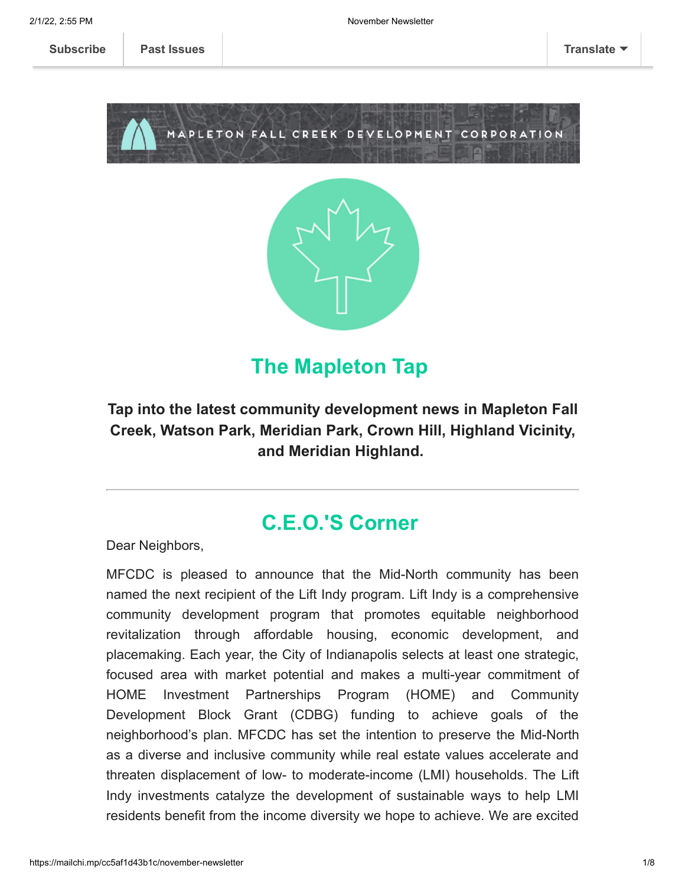



## **The Mapleton Tap**

#### **Tap into the latest community development news in Mapleton Fall Creek, Watson Park, Meridian Park, Crown Hill, Highland Vicinity, and Meridian Highland.**

### **C.E.O.'S Corner**

Dear Neighbors,

MFCDC is pleased to announce that the Mid-North community has been named the next recipient of the Lift Indy program. Lift Indy is a comprehensive community development program that promotes equitable neighborhood revitalization through affordable housing, economic development, and placemaking. Each year, the City of Indianapolis selects at least one strategic, focused area with market potential and makes a multi-year commitment of HOME Investment Partnerships Program (HOME) and Community Development Block Grant (CDBG) funding to achieve goals of the neighborhood's plan. MFCDC has set the intention to preserve the Mid-North as a diverse and inclusive community while real estate values accelerate and threaten displacement of low- to moderate-income (LMI) households. The Lift Indy investments catalyze the development of sustainable ways to help LMI residents benefit from the income diversity we hope to achieve. We are excited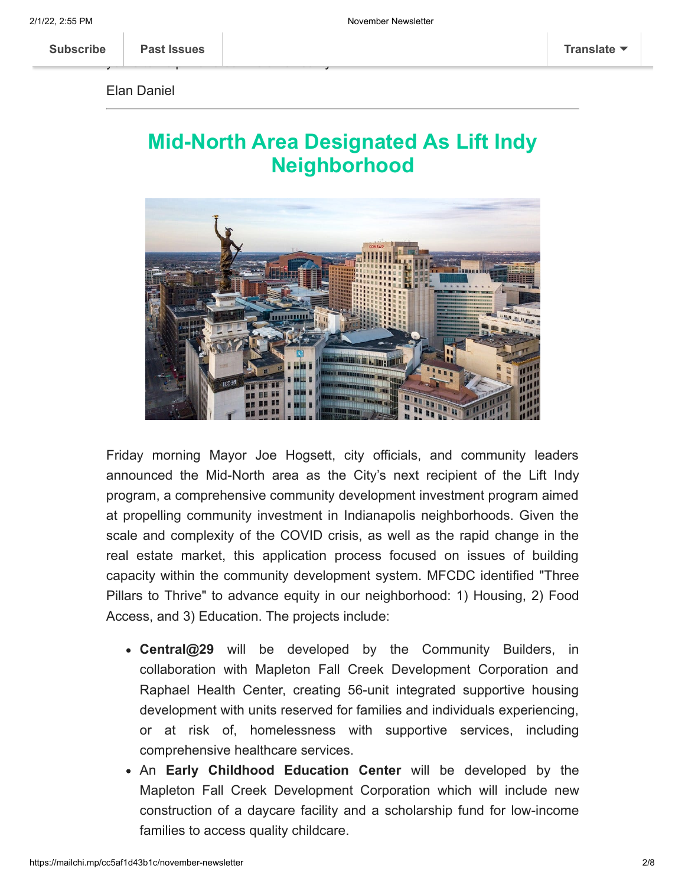**[Subscribe](http://eepurl.com/dg7ppH) Past Issues [Translate](javascript:;)**

ye[ars to help make](https://us11.campaign-archive.com/home/?u=123f43371c390f9c1cb62ce5d&id=e6d7791531) our vision a reality!

Elan Daniel

## **Mid-North Area Designated As Lift Indy Neighborhood**



Friday morning Mayor Joe Hogsett, city officials, and community leaders announced the Mid-North area as the City's next recipient of the Lift Indy program, a comprehensive community development investment program aimed at propelling community investment in Indianapolis neighborhoods. Given the scale and complexity of the COVID crisis, as well as the rapid change in the real estate market, this application process focused on issues of building capacity within the community development system. MFCDC identified "Three Pillars to Thrive" to advance equity in our neighborhood: 1) Housing, 2) Food Access, and 3) Education. The projects include:

- **Central@29** will be developed by the Community Builders, in collaboration with Mapleton Fall Creek Development Corporation and Raphael Health Center, creating 56-unit integrated supportive housing development with units reserved for families and individuals experiencing, or at risk of, homelessness with supportive services, including comprehensive healthcare services.
- An **Early Childhood Education Center** will be developed by the Mapleton Fall Creek Development Corporation which will include new construction of a daycare facility and a scholarship fund for low-income families to access quality childcare.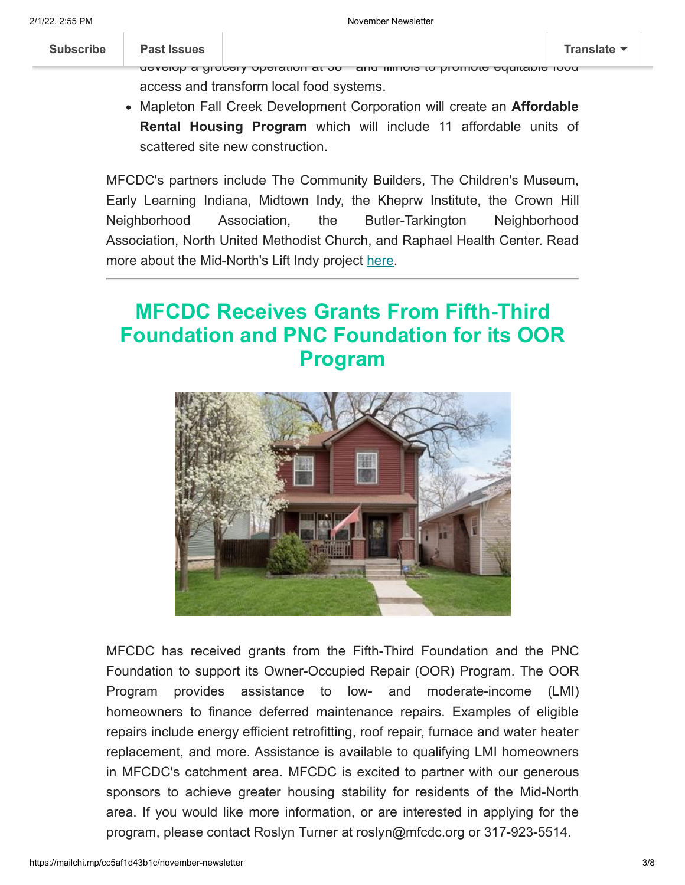#### **[Subscribe](http://eepurl.com/dg7ppH) Past Issues [Translate](javascript:;)**

#### [Midtown India](https://us11.campaign-archive.com/home/?u=123f43371c390f9c1cb62ce5d&id=e6d7791531)napolis Inc. will lead a **Food Equity & Access Initiative** to

develop a grocery operation at 38th and Illinois to promote equitable food access and transform local food systems.

Mapleton Fall Creek Development Corporation will create an **Affordable Rental Housing Program** which will include 11 affordable units of scattered site new construction.

MFCDC's partners include The Community Builders, The Children's Museum, Early Learning Indiana, Midtown Indy, the Kheprw Institute, the Crown Hill Neighborhood Association, the Butler-Tarkington Neighborhood Association, North United Methodist Church, and Raphael Health Center. Read more about the Mid-North's Lift Indy project [here](https://www.ibj.com/articles/mid-north-area-chosen-for-3-year-3-5m-lift-indy-investment-program?utm_source=news-update&utm_medium=newsletter&utm_campaign=2021-11-05).

# **MFCDC Receives Grants From Fifth-Third Foundation and PNC Foundation for its OOR Program**



MFCDC has received grants from the Fifth-Third Foundation and the PNC Foundation to support its Owner-Occupied Repair (OOR) Program. The OOR Program provides assistance to low- and moderate-income (LMI) homeowners to finance deferred maintenance repairs. Examples of eligible repairs include energy efficient retrofitting, roof repair, furnace and water heater replacement, and more. Assistance is available to qualifying LMI homeowners in MFCDC's catchment area. MFCDC is excited to partner with our generous sponsors to achieve greater housing stability for residents of the Mid-North area. If you would like more information, or are interested in applying for the program, please contact Roslyn Turner at roslyn@mfcdc.org or 317-923-5514.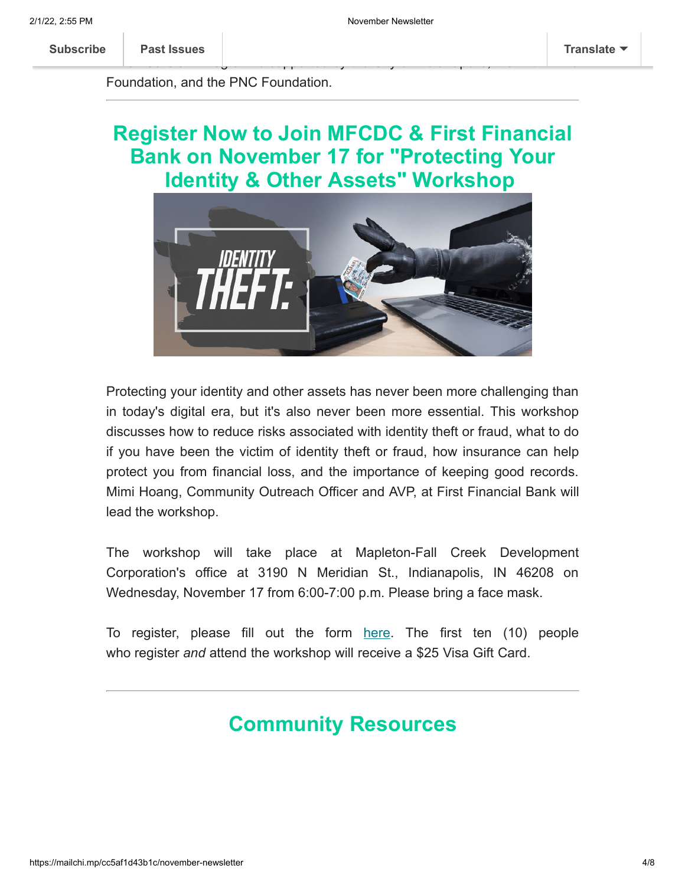M[FCDCs OOR Prog](https://us11.campaign-archive.com/home/?u=123f43371c390f9c1cb62ce5d&id=e6d7791531)ram is supported by the City of Indianapolis, the Fifth-Third

Foundation, and the PNC Foundation.

# **Register Now to Join MFCDC & First Financial Bank on November 17 for "Protecting Your Identity & Other Assets" Workshop**



Protecting your identity and other assets has never been more challenging than in today's digital era, but it's also never been more essential. This workshop discusses how to reduce risks associated with identity theft or fraud, what to do if you have been the victim of identity theft or fraud, how insurance can help protect you from financial loss, and the importance of keeping good records. Mimi Hoang, Community Outreach Officer and AVP, at First Financial Bank will lead the workshop.

The workshop will take place at Mapleton-Fall Creek Development Corporation's office at 3190 N Meridian St., Indianapolis, IN 46208 on Wednesday, November 17 from 6:00-7:00 p.m. Please bring a face mask.

To register, please fill out the form [here](https://docs.google.com/forms/d/e/1FAIpQLSeO-ZDUm0slE9RJp9ps7C78BDkpuyis1U0o2eSKZiGo0bnL1w/viewform). The first ten (10) people who register *and* attend the workshop will receive a \$25 Visa Gift Card.

# **Community Resources**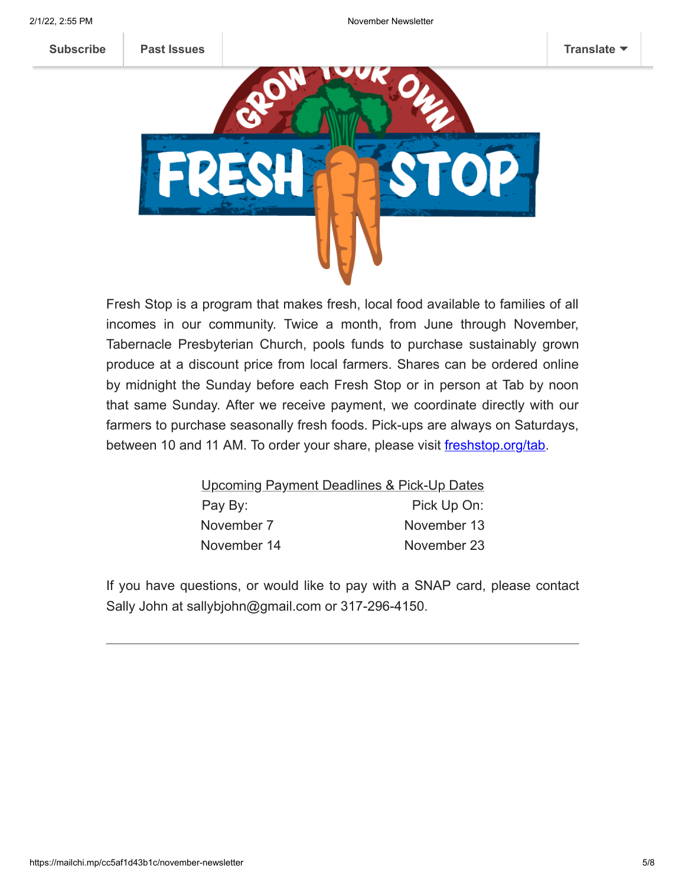



Fresh Stop is a program that makes fresh, local food available to families of all incomes in our community. Twice a month, from June through November, Tabernacle Presbyterian Church, pools funds to purchase sustainably grown produce at a discount price from local farmers. Shares can be ordered online by midnight the Sunday before each Fresh Stop or in person at Tab by noon that same Sunday. After we receive payment, we coordinate directly with our farmers to purchase seasonally fresh foods. Pick-ups are always on Saturdays, between 10 and 11 AM. To order your share, please visit freshstop.org/tab.

| Upcoming Payment Deadlines & Pick-Up Dates |
|--------------------------------------------|
| Pick Up On:                                |
| November 13                                |
| November 23                                |
|                                            |

If you have questions, or would like to pay with a SNAP card, please contact Sally John at sallybjohn@gmail.com or 317-296-4150.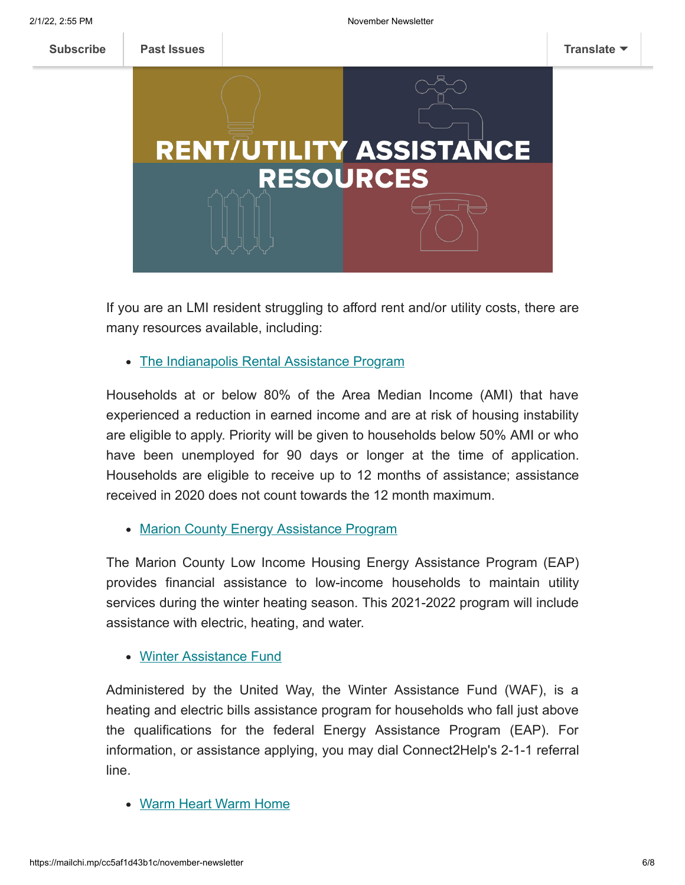

If you are an LMI resident struggling to afford rent and/or utility costs, there are many resources available, including:

• [The Indianapolis Rental Assistance Program](http://indyrent.org%20/)

Households at or below 80% of the Area Median Income (AMI) that have experienced a reduction in earned income and are at risk of housing instability are eligible to apply. Priority will be given to households below 50% AMI or who have been unemployed for 90 days or longer at the time of application. Households are eligible to receive up to 12 months of assistance; assistance received in 2020 does not count towards the 12 month maximum.

• [Marion County Energy Assistance Program](http://indyeap.org/)

The Marion County Low Income Housing Energy Assistance Program (EAP) provides financial assistance to low-income households to maintain utility services during the winter heating season. This 2021-2022 program will include assistance with electric, heating, and water.

#### [Winter Assistance Fund](https://uwci.givecorps.com/projects/2628-income-winter-assistance-fund%C2%A0)

Administered by the United Way, the Winter Assistance Fund (WAF), is a heating and electric bills assistance program for households who fall just above the qualifications for the federal Energy Assistance Program (EAP). For information, or assistance applying, you may dial Connect2Help's 2-1-1 referral line.

Warm Heart [Warm Home](https://www.citizensenergygroup.com/My-Home/Utility-Services/Warm-Heart-Warm-Home)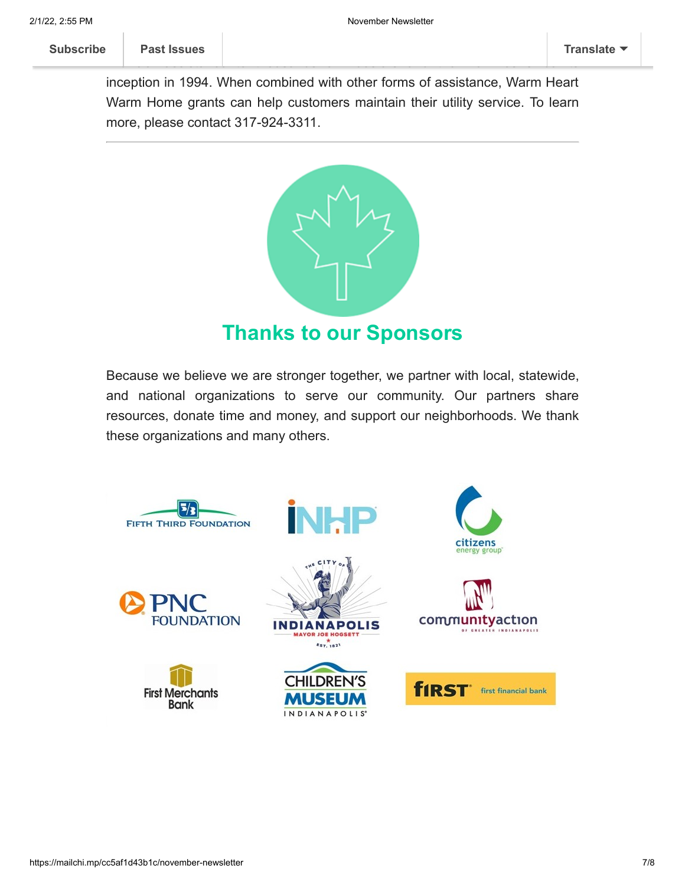inception in 1994. When combined with other forms of assistance, Warm Heart Warm Home grants can help customers maintain their utility service. To learn more, please contact 317-924-3311.

financial assistance to thousands of Hoosiers and their families since its



Because we believe we are stronger together, we partner with local, statewide, and national organizations to serve our community. Our partners share resources, donate time and money, and support our neighborhoods. We thank these organizations and many others.